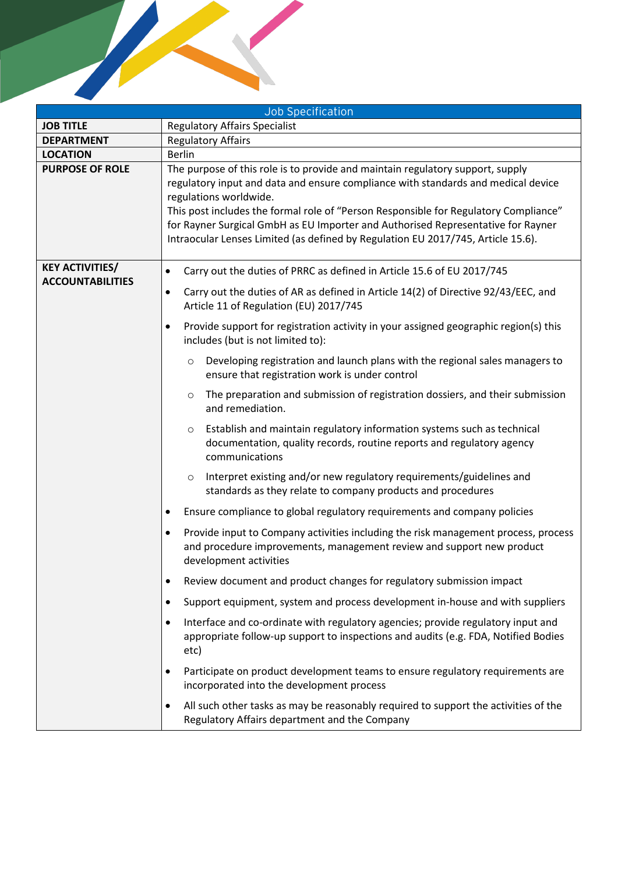|                                                   | <b>Job Specification</b>                                                                                                                                                                                                                                                                                                                                                                                                                                      |  |
|---------------------------------------------------|---------------------------------------------------------------------------------------------------------------------------------------------------------------------------------------------------------------------------------------------------------------------------------------------------------------------------------------------------------------------------------------------------------------------------------------------------------------|--|
| <b>JOB TITLE</b>                                  | <b>Regulatory Affairs Specialist</b>                                                                                                                                                                                                                                                                                                                                                                                                                          |  |
| <b>DEPARTMENT</b>                                 | <b>Regulatory Affairs</b>                                                                                                                                                                                                                                                                                                                                                                                                                                     |  |
| <b>LOCATION</b>                                   | <b>Berlin</b>                                                                                                                                                                                                                                                                                                                                                                                                                                                 |  |
| <b>PURPOSE OF ROLE</b>                            | The purpose of this role is to provide and maintain regulatory support, supply<br>regulatory input and data and ensure compliance with standards and medical device<br>regulations worldwide.<br>This post includes the formal role of "Person Responsible for Regulatory Compliance"<br>for Rayner Surgical GmbH as EU Importer and Authorised Representative for Rayner<br>Intraocular Lenses Limited (as defined by Regulation EU 2017/745, Article 15.6). |  |
| <b>KEY ACTIVITIES/</b><br><b>ACCOUNTABILITIES</b> | Carry out the duties of PRRC as defined in Article 15.6 of EU 2017/745<br>$\bullet$                                                                                                                                                                                                                                                                                                                                                                           |  |
|                                                   | Carry out the duties of AR as defined in Article 14(2) of Directive 92/43/EEC, and<br>$\bullet$<br>Article 11 of Regulation (EU) 2017/745                                                                                                                                                                                                                                                                                                                     |  |
|                                                   | Provide support for registration activity in your assigned geographic region(s) this<br>$\bullet$<br>includes (but is not limited to):                                                                                                                                                                                                                                                                                                                        |  |
|                                                   | Developing registration and launch plans with the regional sales managers to<br>$\circ$<br>ensure that registration work is under control                                                                                                                                                                                                                                                                                                                     |  |
|                                                   | The preparation and submission of registration dossiers, and their submission<br>$\circ$<br>and remediation.                                                                                                                                                                                                                                                                                                                                                  |  |
|                                                   | Establish and maintain regulatory information systems such as technical<br>$\circ$<br>documentation, quality records, routine reports and regulatory agency<br>communications                                                                                                                                                                                                                                                                                 |  |
|                                                   | Interpret existing and/or new regulatory requirements/guidelines and<br>$\circ$<br>standards as they relate to company products and procedures                                                                                                                                                                                                                                                                                                                |  |
|                                                   | Ensure compliance to global regulatory requirements and company policies<br>٠                                                                                                                                                                                                                                                                                                                                                                                 |  |
|                                                   | Provide input to Company activities including the risk management process, process<br>$\bullet$<br>and procedure improvements, management review and support new product<br>development activities                                                                                                                                                                                                                                                            |  |
|                                                   | Review document and product changes for regulatory submission impact<br>٠                                                                                                                                                                                                                                                                                                                                                                                     |  |
|                                                   | Support equipment, system and process development in-house and with suppliers<br>$\bullet$                                                                                                                                                                                                                                                                                                                                                                    |  |
|                                                   | Interface and co-ordinate with regulatory agencies; provide regulatory input and<br>$\bullet$<br>appropriate follow-up support to inspections and audits (e.g. FDA, Notified Bodies<br>etc)                                                                                                                                                                                                                                                                   |  |
|                                                   | Participate on product development teams to ensure regulatory requirements are<br>$\bullet$<br>incorporated into the development process                                                                                                                                                                                                                                                                                                                      |  |
|                                                   | All such other tasks as may be reasonably required to support the activities of the<br>$\bullet$<br>Regulatory Affairs department and the Company                                                                                                                                                                                                                                                                                                             |  |